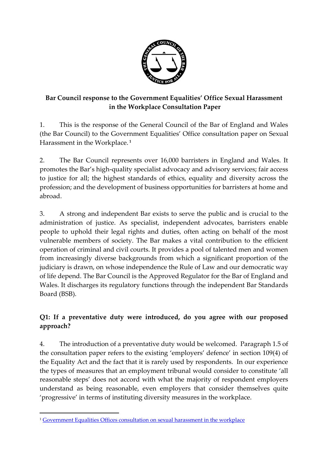

## **Bar Council response to the Government Equalities' Office Sexual Harassment in the Workplace Consultation Paper**

1. This is the response of the General Council of the Bar of England and Wales (the Bar Council) to the Government Equalities' Office consultation paper on Sexual Harassment in the Workplace. **1**

2. The Bar Council represents over 16,000 barristers in England and Wales. It promotes the Bar's high-quality specialist advocacy and advisory services; fair access to justice for all; the highest standards of ethics, equality and diversity across the profession; and the development of business opportunities for barristers at home and abroad.

3. A strong and independent Bar exists to serve the public and is crucial to the administration of justice. As specialist, independent advocates, barristers enable people to uphold their legal rights and duties, often acting on behalf of the most vulnerable members of society. The Bar makes a vital contribution to the efficient operation of criminal and civil courts. It provides a pool of talented men and women from increasingly diverse backgrounds from which a significant proportion of the judiciary is drawn, on whose independence the Rule of Law and our democratic way of life depend. The Bar Council is the Approved Regulator for the Bar of England and Wales. It discharges its regulatory functions through the independent Bar Standards Board (BSB).

## **Q1: If a preventative duty were introduced, do you agree with our proposed approach?**

4. The introduction of a preventative duty would be welcomed. Paragraph 1.5 of the consultation paper refers to the existing 'employers' defence' in section 109(4) of the Equality Act and the fact that it is rarely used by respondents. In our experience the types of measures that an employment tribunal would consider to constitute 'all reasonable steps' does not accord with what the majority of respondent employers understand as being reasonable, even employers that consider themselves quite 'progressive' in terms of instituting diversity measures in the workplace.

 $\overline{a}$ 

<sup>&</sup>lt;sup>1</sup> [Government Equalities Offices consultation on sexual harassment in the workplace](https://assets.publishing.service.gov.uk/government/uploads/system/uploads/attachment_data/file/816116/Technical_consultation_-_FINAL.pdf)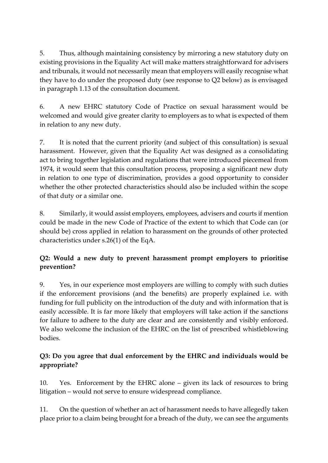5. Thus, although maintaining consistency by mirroring a new statutory duty on existing provisions in the Equality Act will make matters straightforward for advisers and tribunals, it would not necessarily mean that employers will easily recognise what they have to do under the proposed duty (see response to Q2 below) as is envisaged in paragraph 1.13 of the consultation document.

6. A new EHRC statutory Code of Practice on sexual harassment would be welcomed and would give greater clarity to employers as to what is expected of them in relation to any new duty.

7. It is noted that the current priority (and subject of this consultation) is sexual harassment. However, given that the Equality Act was designed as a consolidating act to bring together legislation and regulations that were introduced piecemeal from 1974, it would seem that this consultation process, proposing a significant new duty in relation to one type of discrimination, provides a good opportunity to consider whether the other protected characteristics should also be included within the scope of that duty or a similar one.

8. Similarly, it would assist employers, employees, advisers and courts if mention could be made in the new Code of Practice of the extent to which that Code can (or should be) cross applied in relation to harassment on the grounds of other protected characteristics under s.26(1) of the EqA.

# **Q2: Would a new duty to prevent harassment prompt employers to prioritise prevention?**

9. Yes, in our experience most employers are willing to comply with such duties if the enforcement provisions (and the benefits) are properly explained i.e. with funding for full publicity on the introduction of the duty and with information that is easily accessible. It is far more likely that employers will take action if the sanctions for failure to adhere to the duty are clear and are consistently and visibly enforced. We also welcome the inclusion of the EHRC on the list of prescribed whistleblowing bodies.

## **Q3: Do you agree that dual enforcement by the EHRC and individuals would be appropriate?**

10. Yes. Enforcement by the EHRC alone – given its lack of resources to bring litigation – would not serve to ensure widespread compliance.

11. On the question of whether an act of harassment needs to have allegedly taken place prior to a claim being brought for a breach of the duty, we can see the arguments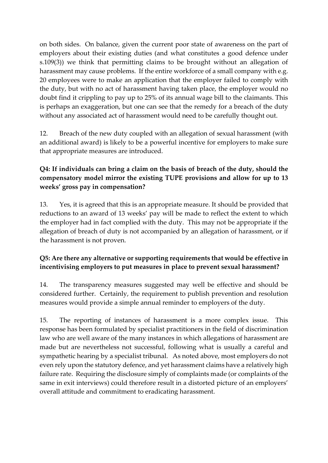on both sides. On balance, given the current poor state of awareness on the part of employers about their existing duties (and what constitutes a good defence under s.109(3)) we think that permitting claims to be brought without an allegation of harassment may cause problems. If the entire workforce of a small company with e.g. 20 employees were to make an application that the employer failed to comply with the duty, but with no act of harassment having taken place, the employer would no doubt find it crippling to pay up to 25% of its annual wage bill to the claimants. This is perhaps an exaggeration, but one can see that the remedy for a breach of the duty without any associated act of harassment would need to be carefully thought out.

12. Breach of the new duty coupled with an allegation of sexual harassment (with an additional award) is likely to be a powerful incentive for employers to make sure that appropriate measures are introduced.

## **Q4: If individuals can bring a claim on the basis of breach of the duty, should the compensatory model mirror the existing TUPE provisions and allow for up to 13 weeks' gross pay in compensation?**

13. Yes, it is agreed that this is an appropriate measure. It should be provided that reductions to an award of 13 weeks' pay will be made to reflect the extent to which the employer had in fact complied with the duty. This may not be appropriate if the allegation of breach of duty is not accompanied by an allegation of harassment, or if the harassment is not proven.

## **Q5: Are there any alternative or supporting requirements that would be effective in incentivising employers to put measures in place to prevent sexual harassment?**

14. The transparency measures suggested may well be effective and should be considered further. Certainly, the requirement to publish prevention and resolution measures would provide a simple annual reminder to employers of the duty.

15. The reporting of instances of harassment is a more complex issue. This response has been formulated by specialist practitioners in the field of discrimination law who are well aware of the many instances in which allegations of harassment are made but are nevertheless not successful, following what is usually a careful and sympathetic hearing by a specialist tribunal. As noted above, most employers do not even rely upon the statutory defence, and yet harassment claims have a relatively high failure rate. Requiring the disclosure simply of complaints made (or complaints of the same in exit interviews) could therefore result in a distorted picture of an employers' overall attitude and commitment to eradicating harassment.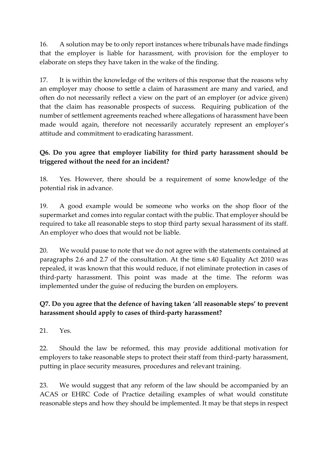16. A solution may be to only report instances where tribunals have made findings that the employer is liable for harassment, with provision for the employer to elaborate on steps they have taken in the wake of the finding.

17. It is within the knowledge of the writers of this response that the reasons why an employer may choose to settle a claim of harassment are many and varied, and often do not necessarily reflect a view on the part of an employer (or advice given) that the claim has reasonable prospects of success. Requiring publication of the number of settlement agreements reached where allegations of harassment have been made would again, therefore not necessarily accurately represent an employer's attitude and commitment to eradicating harassment.

## **Q6. Do you agree that employer liability for third party harassment should be triggered without the need for an incident?**

18. Yes. However, there should be a requirement of some knowledge of the potential risk in advance.

19. A good example would be someone who works on the shop floor of the supermarket and comes into regular contact with the public. That employer should be required to take all reasonable steps to stop third party sexual harassment of its staff. An employer who does that would not be liable.

20. We would pause to note that we do not agree with the statements contained at paragraphs 2.6 and 2.7 of the consultation. At the time s.40 Equality Act 2010 was repealed, it was known that this would reduce, if not eliminate protection in cases of third-party harassment. This point was made at the time. The reform was implemented under the guise of reducing the burden on employers.

## **Q7. Do you agree that the defence of having taken 'all reasonable steps' to prevent harassment should apply to cases of third-party harassment?**

21. Yes.

22. Should the law be reformed, this may provide additional motivation for employers to take reasonable steps to protect their staff from third-party harassment, putting in place security measures, procedures and relevant training.

23. We would suggest that any reform of the law should be accompanied by an ACAS or EHRC Code of Practice detailing examples of what would constitute reasonable steps and how they should be implemented. It may be that steps in respect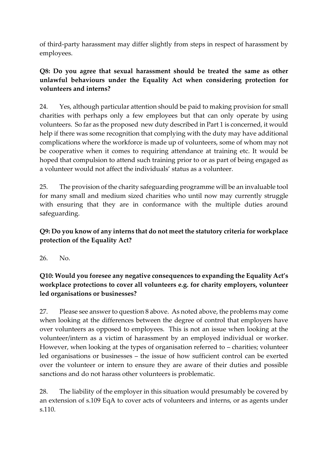of third-party harassment may differ slightly from steps in respect of harassment by employees.

#### **Q8: Do you agree that sexual harassment should be treated the same as other unlawful behaviours under the Equality Act when considering protection for volunteers and interns?**

24. Yes, although particular attention should be paid to making provision for small charities with perhaps only a few employees but that can only operate by using volunteers. So far as the proposed new duty described in Part 1 is concerned, it would help if there was some recognition that complying with the duty may have additional complications where the workforce is made up of volunteers, some of whom may not be cooperative when it comes to requiring attendance at training etc. It would be hoped that compulsion to attend such training prior to or as part of being engaged as a volunteer would not affect the individuals' status as a volunteer.

25. The provision of the charity safeguarding programme will be an invaluable tool for many small and medium sized charities who until now may currently struggle with ensuring that they are in conformance with the multiple duties around safeguarding.

## **Q9: Do you know of any interns that do not meet the statutory criteria for workplace protection of the Equality Act?**

26. No.

#### **Q10: Would you foresee any negative consequences to expanding the Equality Act's workplace protections to cover all volunteers e.g. for charity employers, volunteer led organisations or businesses?**

27. Please see answer to question 8 above. As noted above, the problems may come when looking at the differences between the degree of control that employers have over volunteers as opposed to employees. This is not an issue when looking at the volunteer/intern as a victim of harassment by an employed individual or worker. However, when looking at the types of organisation referred to – charities; volunteer led organisations or businesses – the issue of how sufficient control can be exerted over the volunteer or intern to ensure they are aware of their duties and possible sanctions and do not harass other volunteers is problematic.

28. The liability of the employer in this situation would presumably be covered by an extension of s.109 EqA to cover acts of volunteers and interns, or as agents under s.110.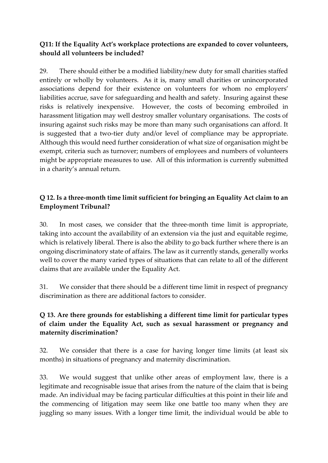#### **Q11: If the Equality Act's workplace protections are expanded to cover volunteers, should all volunteers be included?**

29. There should either be a modified liability/new duty for small charities staffed entirely or wholly by volunteers. As it is, many small charities or unincorporated associations depend for their existence on volunteers for whom no employers' liabilities accrue, save for safeguarding and health and safety. Insuring against these risks is relatively inexpensive. However, the costs of becoming embroiled in harassment litigation may well destroy smaller voluntary organisations. The costs of insuring against such risks may be more than many such organisations can afford. It is suggested that a two-tier duty and/or level of compliance may be appropriate. Although this would need further consideration of what size of organisation might be exempt, criteria such as turnover; numbers of employees and numbers of volunteers might be appropriate measures to use. All of this information is currently submitted in a charity's annual return.

## **Q 12. Is a three-month time limit sufficient for bringing an Equality Act claim to an Employment Tribunal?**

30. In most cases, we consider that the three-month time limit is appropriate, taking into account the availability of an extension via the just and equitable regime, which is relatively liberal. There is also the ability to go back further where there is an ongoing discriminatory state of affairs. The law as it currently stands, generally works well to cover the many varied types of situations that can relate to all of the different claims that are available under the Equality Act.

31. We consider that there should be a different time limit in respect of pregnancy discrimination as there are additional factors to consider.

## **Q 13. Are there grounds for establishing a different time limit for particular types of claim under the Equality Act, such as sexual harassment or pregnancy and maternity discrimination?**

32. We consider that there is a case for having longer time limits (at least six months) in situations of pregnancy and maternity discrimination.

33. We would suggest that unlike other areas of employment law, there is a legitimate and recognisable issue that arises from the nature of the claim that is being made. An individual may be facing particular difficulties at this point in their life and the commencing of litigation may seem like one battle too many when they are juggling so many issues. With a longer time limit, the individual would be able to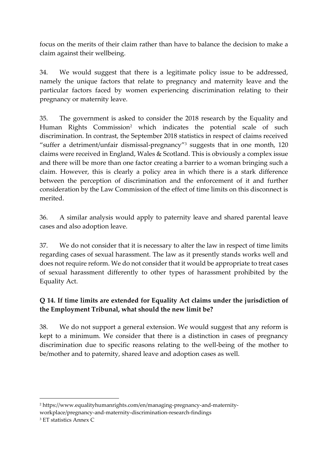focus on the merits of their claim rather than have to balance the decision to make a claim against their wellbeing.

34. We would suggest that there is a legitimate policy issue to be addressed, namely the unique factors that relate to pregnancy and maternity leave and the particular factors faced by women experiencing discrimination relating to their pregnancy or maternity leave.

35. The government is asked to consider the 2018 research by the Equality and Human Rights Commission<sup>2</sup> which indicates the potential scale of such discrimination. In contrast, the September 2018 statistics in respect of claims received "suffer a detriment/unfair dismissal-pregnancy"<sup>3</sup> suggests that in one month, 120 claims were received in England, Wales & Scotland. This is obviously a complex issue and there will be more than one factor creating a barrier to a woman bringing such a claim. However, this is clearly a policy area in which there is a stark difference between the perception of discrimination and the enforcement of it and further consideration by the Law Commission of the effect of time limits on this disconnect is merited.

36. A similar analysis would apply to paternity leave and shared parental leave cases and also adoption leave.

37. We do not consider that it is necessary to alter the law in respect of time limits regarding cases of sexual harassment. The law as it presently stands works well and does not require reform. We do not consider that it would be appropriate to treat cases of sexual harassment differently to other types of harassment prohibited by the Equality Act.

## **Q 14. If time limits are extended for Equality Act claims under the jurisdiction of the Employment Tribunal, what should the new limit be?**

38. We do not support a general extension. We would suggest that any reform is kept to a minimum. We consider that there is a distinction in cases of pregnancy discrimination due to specific reasons relating to the well-being of the mother to be/mother and to paternity, shared leave and adoption cases as well.

**<sup>.</sup>** <sup>2</sup> https://www.equalityhumanrights.com/en/managing-pregnancy-and-maternityworkplace/pregnancy-and-maternity-discrimination-research-findings

<sup>3</sup> ET statistics Annex C